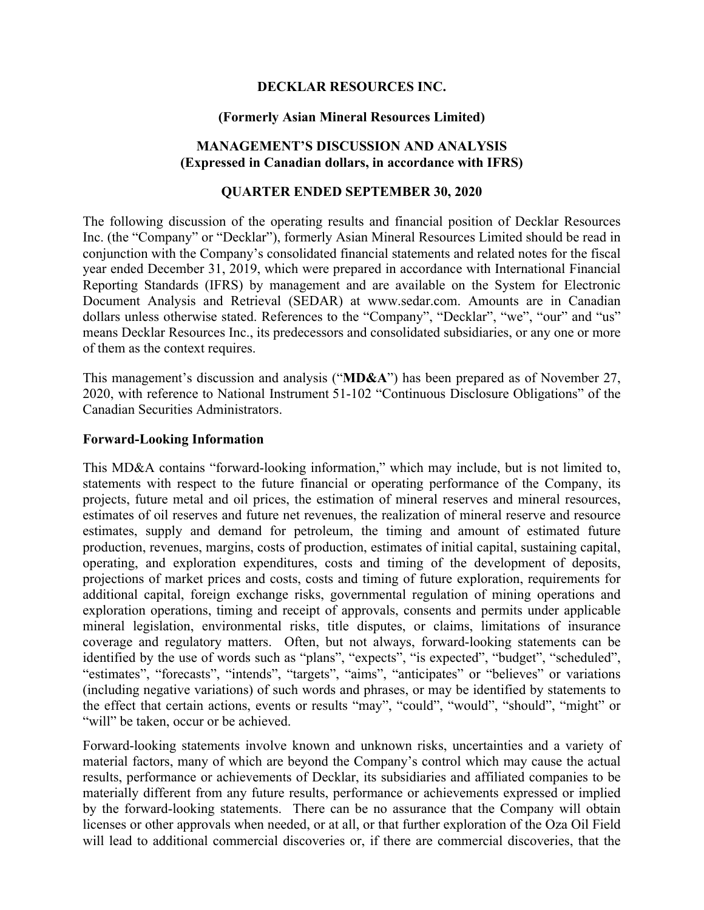## **DECKLAR RESOURCES INC.**

#### **(Formerly Asian Mineral Resources Limited)**

## **MANAGEMENT'S DISCUSSION AND ANALYSIS (Expressed in Canadian dollars, in accordance with IFRS)**

## **QUARTER ENDED SEPTEMBER 30, 2020**

The following discussion of the operating results and financial position of Decklar Resources Inc. (the "Company" or "Decklar"), formerly Asian Mineral Resources Limited should be read in conjunction with the Company's consolidated financial statements and related notes for the fiscal year ended December 31, 2019, which were prepared in accordance with International Financial Reporting Standards (IFRS) by management and are available on the System for Electronic Document Analysis and Retrieval (SEDAR) at www.sedar.com. Amounts are in Canadian dollars unless otherwise stated. References to the "Company", "Decklar", "we", "our" and "us" means Decklar Resources Inc., its predecessors and consolidated subsidiaries, or any one or more of them as the context requires.

This management's discussion and analysis ("**MD&A**") has been prepared as of November 27, 2020, with reference to National Instrument 51-102 "Continuous Disclosure Obligations" of the Canadian Securities Administrators.

#### **Forward-Looking Information**

This MD&A contains "forward-looking information," which may include, but is not limited to, statements with respect to the future financial or operating performance of the Company, its projects, future metal and oil prices, the estimation of mineral reserves and mineral resources, estimates of oil reserves and future net revenues, the realization of mineral reserve and resource estimates, supply and demand for petroleum, the timing and amount of estimated future production, revenues, margins, costs of production, estimates of initial capital, sustaining capital, operating, and exploration expenditures, costs and timing of the development of deposits, projections of market prices and costs, costs and timing of future exploration, requirements for additional capital, foreign exchange risks, governmental regulation of mining operations and exploration operations, timing and receipt of approvals, consents and permits under applicable mineral legislation, environmental risks, title disputes, or claims, limitations of insurance coverage and regulatory matters. Often, but not always, forward-looking statements can be identified by the use of words such as "plans", "expects", "is expected", "budget", "scheduled", "estimates", "forecasts", "intends", "targets", "aims", "anticipates" or "believes" or variations (including negative variations) of such words and phrases, or may be identified by statements to the effect that certain actions, events or results "may", "could", "would", "should", "might" or "will" be taken, occur or be achieved.

Forward-looking statements involve known and unknown risks, uncertainties and a variety of material factors, many of which are beyond the Company's control which may cause the actual results, performance or achievements of Decklar, its subsidiaries and affiliated companies to be materially different from any future results, performance or achievements expressed or implied by the forward-looking statements. There can be no assurance that the Company will obtain licenses or other approvals when needed, or at all, or that further exploration of the Oza Oil Field will lead to additional commercial discoveries or, if there are commercial discoveries, that the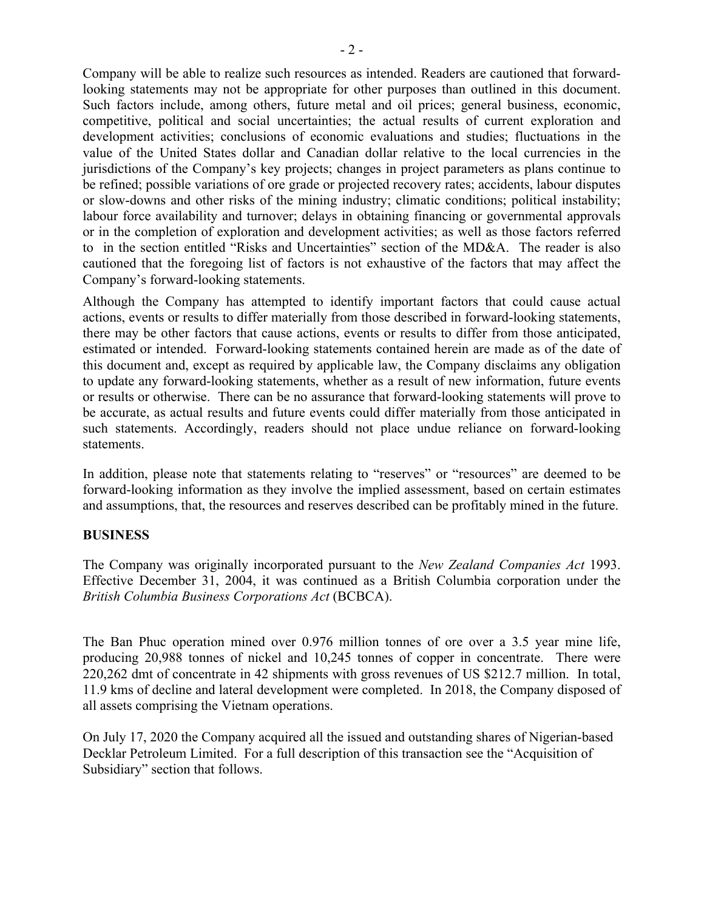Company will be able to realize such resources as intended. Readers are cautioned that forwardlooking statements may not be appropriate for other purposes than outlined in this document. Such factors include, among others, future metal and oil prices; general business, economic, competitive, political and social uncertainties; the actual results of current exploration and development activities; conclusions of economic evaluations and studies; fluctuations in the value of the United States dollar and Canadian dollar relative to the local currencies in the jurisdictions of the Company's key projects; changes in project parameters as plans continue to be refined; possible variations of ore grade or projected recovery rates; accidents, labour disputes or slow-downs and other risks of the mining industry; climatic conditions; political instability; labour force availability and turnover; delays in obtaining financing or governmental approvals or in the completion of exploration and development activities; as well as those factors referred to in the section entitled "Risks and Uncertainties" section of the MD&A. The reader is also cautioned that the foregoing list of factors is not exhaustive of the factors that may affect the Company's forward-looking statements.

Although the Company has attempted to identify important factors that could cause actual actions, events or results to differ materially from those described in forward-looking statements, there may be other factors that cause actions, events or results to differ from those anticipated, estimated or intended. Forward-looking statements contained herein are made as of the date of this document and, except as required by applicable law, the Company disclaims any obligation to update any forward-looking statements, whether as a result of new information, future events or results or otherwise. There can be no assurance that forward-looking statements will prove to be accurate, as actual results and future events could differ materially from those anticipated in such statements. Accordingly, readers should not place undue reliance on forward-looking statements.

In addition, please note that statements relating to "reserves" or "resources" are deemed to be forward-looking information as they involve the implied assessment, based on certain estimates and assumptions, that, the resources and reserves described can be profitably mined in the future.

#### **BUSINESS**

The Company was originally incorporated pursuant to the *New Zealand Companies Act* 1993. Effective December 31, 2004, it was continued as a British Columbia corporation under the *British Columbia Business Corporations Act* (BCBCA).

The Ban Phuc operation mined over 0.976 million tonnes of ore over a 3.5 year mine life, producing 20,988 tonnes of nickel and 10,245 tonnes of copper in concentrate. There were 220,262 dmt of concentrate in 42 shipments with gross revenues of US \$212.7 million. In total, 11.9 kms of decline and lateral development were completed. In 2018, the Company disposed of all assets comprising the Vietnam operations.

On July 17, 2020 the Company acquired all the issued and outstanding shares of Nigerian-based Decklar Petroleum Limited. For a full description of this transaction see the "Acquisition of Subsidiary" section that follows.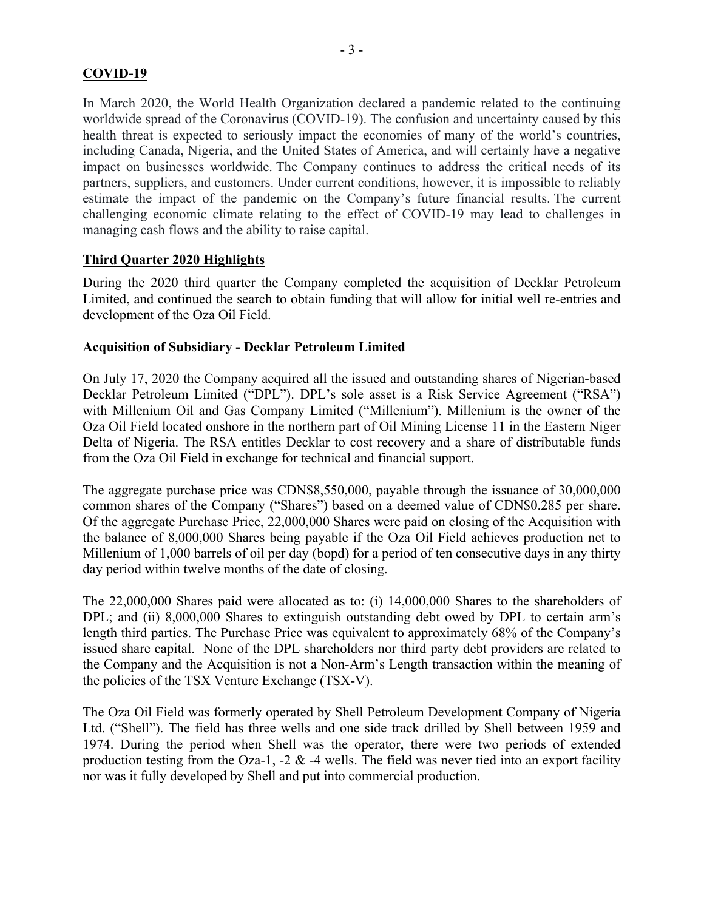## **COVID-19**

In March 2020, the World Health Organization declared a pandemic related to the continuing worldwide spread of the Coronavirus (COVID-19). The confusion and uncertainty caused by this health threat is expected to seriously impact the economies of many of the world's countries, including Canada, Nigeria, and the United States of America, and will certainly have a negative impact on businesses worldwide. The Company continues to address the critical needs of its partners, suppliers, and customers. Under current conditions, however, it is impossible to reliably estimate the impact of the pandemic on the Company's future financial results. The current challenging economic climate relating to the effect of COVID-19 may lead to challenges in managing cash flows and the ability to raise capital.

## **Third Quarter 2020 Highlights**

During the 2020 third quarter the Company completed the acquisition of Decklar Petroleum Limited, and continued the search to obtain funding that will allow for initial well re-entries and development of the Oza Oil Field.

#### **Acquisition of Subsidiary - Decklar Petroleum Limited**

On July 17, 2020 the Company acquired all the issued and outstanding shares of Nigerian-based Decklar Petroleum Limited ("DPL"). DPL's sole asset is a Risk Service Agreement ("RSA") with Millenium Oil and Gas Company Limited ("Millenium"). Millenium is the owner of the Oza Oil Field located onshore in the northern part of Oil Mining License 11 in the Eastern Niger Delta of Nigeria. The RSA entitles Decklar to cost recovery and a share of distributable funds from the Oza Oil Field in exchange for technical and financial support.

The aggregate purchase price was CDN\$8,550,000, payable through the issuance of 30,000,000 common shares of the Company ("Shares") based on a deemed value of CDN\$0.285 per share. Of the aggregate Purchase Price, 22,000,000 Shares were paid on closing of the Acquisition with the balance of 8,000,000 Shares being payable if the Oza Oil Field achieves production net to Millenium of 1,000 barrels of oil per day (bopd) for a period of ten consecutive days in any thirty day period within twelve months of the date of closing.

The 22,000,000 Shares paid were allocated as to: (i) 14,000,000 Shares to the shareholders of DPL; and (ii) 8,000,000 Shares to extinguish outstanding debt owed by DPL to certain arm's length third parties. The Purchase Price was equivalent to approximately 68% of the Company's issued share capital. None of the DPL shareholders nor third party debt providers are related to the Company and the Acquisition is not a Non-Arm's Length transaction within the meaning of the policies of the TSX Venture Exchange (TSX-V).

The Oza Oil Field was formerly operated by Shell Petroleum Development Company of Nigeria Ltd. ("Shell"). The field has three wells and one side track drilled by Shell between 1959 and 1974. During the period when Shell was the operator, there were two periods of extended production testing from the Oza-1, -2  $\&$  -4 wells. The field was never tied into an export facility nor was it fully developed by Shell and put into commercial production.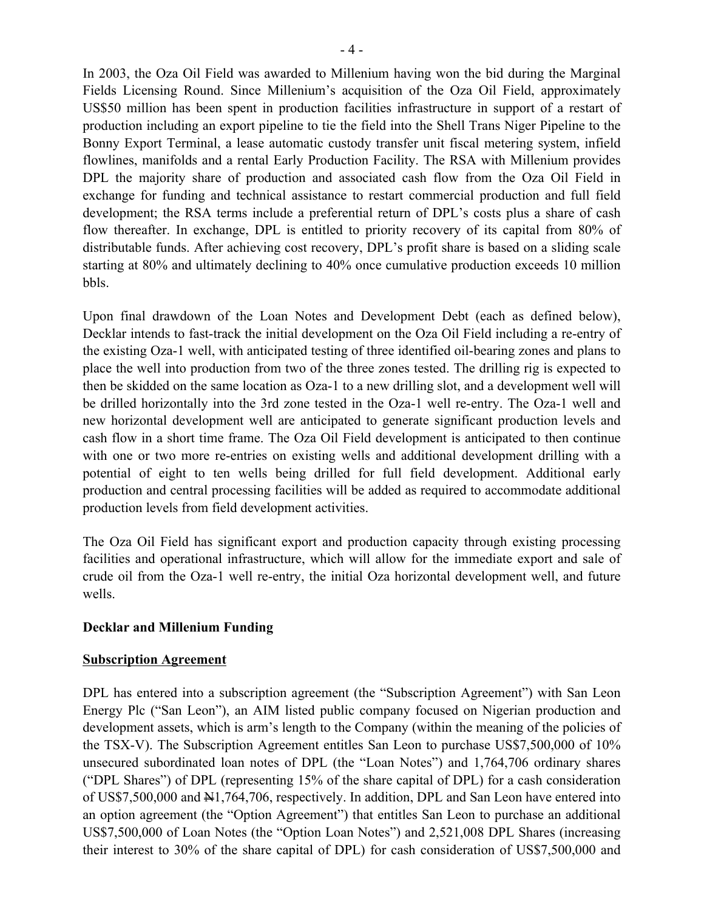In 2003, the Oza Oil Field was awarded to Millenium having won the bid during the Marginal Fields Licensing Round. Since Millenium's acquisition of the Oza Oil Field, approximately US\$50 million has been spent in production facilities infrastructure in support of a restart of production including an export pipeline to tie the field into the Shell Trans Niger Pipeline to the Bonny Export Terminal, a lease automatic custody transfer unit fiscal metering system, infield flowlines, manifolds and a rental Early Production Facility. The RSA with Millenium provides DPL the majority share of production and associated cash flow from the Oza Oil Field in exchange for funding and technical assistance to restart commercial production and full field development; the RSA terms include a preferential return of DPL's costs plus a share of cash flow thereafter. In exchange, DPL is entitled to priority recovery of its capital from 80% of distributable funds. After achieving cost recovery, DPL's profit share is based on a sliding scale starting at 80% and ultimately declining to 40% once cumulative production exceeds 10 million bbls.

Upon final drawdown of the Loan Notes and Development Debt (each as defined below), Decklar intends to fast-track the initial development on the Oza Oil Field including a re-entry of the existing Oza-1 well, with anticipated testing of three identified oil-bearing zones and plans to place the well into production from two of the three zones tested. The drilling rig is expected to then be skidded on the same location as Oza-1 to a new drilling slot, and a development well will be drilled horizontally into the 3rd zone tested in the Oza-1 well re-entry. The Oza-1 well and new horizontal development well are anticipated to generate significant production levels and cash flow in a short time frame. The Oza Oil Field development is anticipated to then continue with one or two more re-entries on existing wells and additional development drilling with a potential of eight to ten wells being drilled for full field development. Additional early production and central processing facilities will be added as required to accommodate additional production levels from field development activities.

The Oza Oil Field has significant export and production capacity through existing processing facilities and operational infrastructure, which will allow for the immediate export and sale of crude oil from the Oza-1 well re-entry, the initial Oza horizontal development well, and future wells.

## **Decklar and Millenium Funding**

#### **Subscription Agreement**

DPL has entered into a subscription agreement (the "Subscription Agreement") with San Leon Energy Plc ("San Leon"), an AIM listed public company focused on Nigerian production and development assets, which is arm's length to the Company (within the meaning of the policies of the TSX-V). The Subscription Agreement entitles San Leon to purchase US\$7,500,000 of 10% unsecured subordinated loan notes of DPL (the "Loan Notes") and 1,764,706 ordinary shares ("DPL Shares") of DPL (representing 15% of the share capital of DPL) for a cash consideration of US\$7,500,000 and N1,764,706, respectively. In addition, DPL and San Leon have entered into an option agreement (the "Option Agreement") that entitles San Leon to purchase an additional US\$7,500,000 of Loan Notes (the "Option Loan Notes") and 2,521,008 DPL Shares (increasing their interest to 30% of the share capital of DPL) for cash consideration of US\$7,500,000 and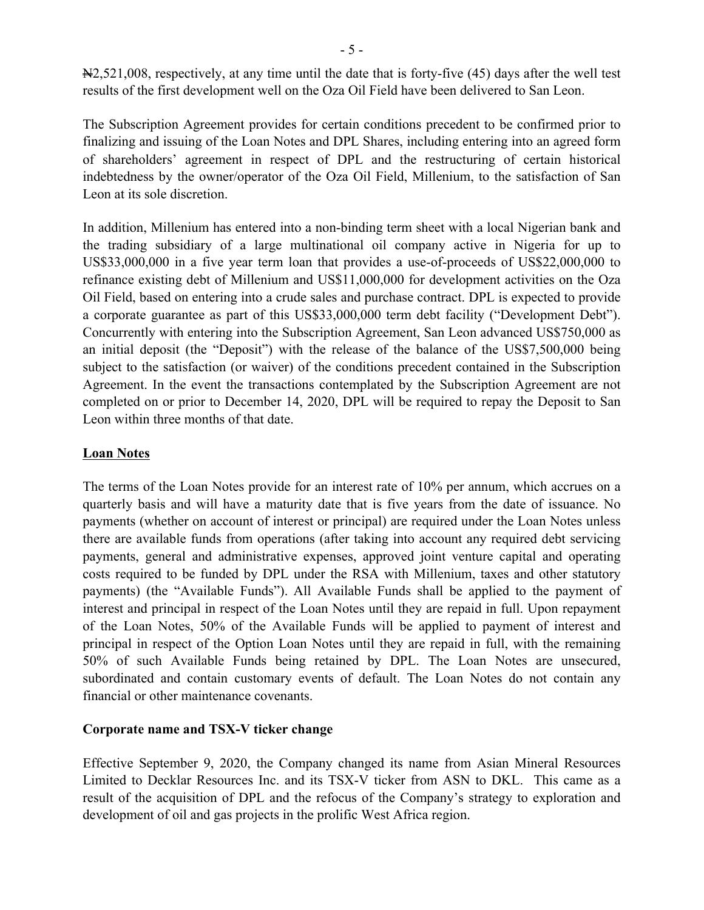N2,521,008, respectively, at any time until the date that is forty-five (45) days after the well test results of the first development well on the Oza Oil Field have been delivered to San Leon.

The Subscription Agreement provides for certain conditions precedent to be confirmed prior to finalizing and issuing of the Loan Notes and DPL Shares, including entering into an agreed form of shareholders' agreement in respect of DPL and the restructuring of certain historical indebtedness by the owner/operator of the Oza Oil Field, Millenium, to the satisfaction of San Leon at its sole discretion.

In addition, Millenium has entered into a non-binding term sheet with a local Nigerian bank and the trading subsidiary of a large multinational oil company active in Nigeria for up to US\$33,000,000 in a five year term loan that provides a use-of-proceeds of US\$22,000,000 to refinance existing debt of Millenium and US\$11,000,000 for development activities on the Oza Oil Field, based on entering into a crude sales and purchase contract. DPL is expected to provide a corporate guarantee as part of this US\$33,000,000 term debt facility ("Development Debt"). Concurrently with entering into the Subscription Agreement, San Leon advanced US\$750,000 as an initial deposit (the "Deposit") with the release of the balance of the US\$7,500,000 being subject to the satisfaction (or waiver) of the conditions precedent contained in the Subscription Agreement. In the event the transactions contemplated by the Subscription Agreement are not completed on or prior to December 14, 2020, DPL will be required to repay the Deposit to San Leon within three months of that date.

## **Loan Notes**

The terms of the Loan Notes provide for an interest rate of 10% per annum, which accrues on a quarterly basis and will have a maturity date that is five years from the date of issuance. No payments (whether on account of interest or principal) are required under the Loan Notes unless there are available funds from operations (after taking into account any required debt servicing payments, general and administrative expenses, approved joint venture capital and operating costs required to be funded by DPL under the RSA with Millenium, taxes and other statutory payments) (the "Available Funds"). All Available Funds shall be applied to the payment of interest and principal in respect of the Loan Notes until they are repaid in full. Upon repayment of the Loan Notes, 50% of the Available Funds will be applied to payment of interest and principal in respect of the Option Loan Notes until they are repaid in full, with the remaining 50% of such Available Funds being retained by DPL. The Loan Notes are unsecured, subordinated and contain customary events of default. The Loan Notes do not contain any financial or other maintenance covenants.

## **Corporate name and TSX-V ticker change**

Effective September 9, 2020, the Company changed its name from Asian Mineral Resources Limited to Decklar Resources Inc. and its TSX-V ticker from ASN to DKL. This came as a result of the acquisition of DPL and the refocus of the Company's strategy to exploration and development of oil and gas projects in the prolific West Africa region.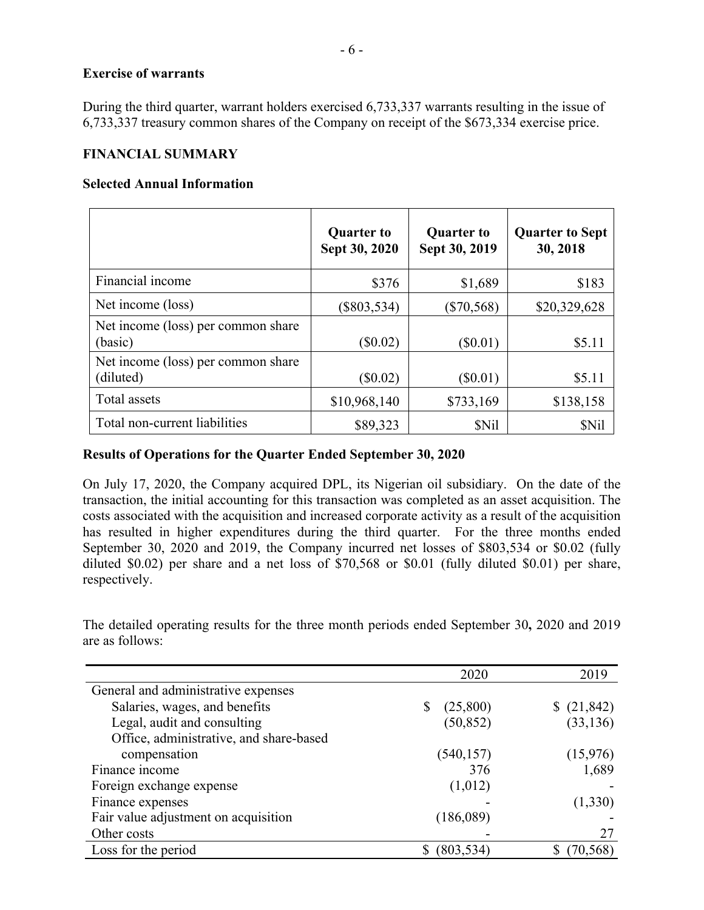#### **Exercise of warrants**

During the third quarter, warrant holders exercised 6,733,337 warrants resulting in the issue of 6,733,337 treasury common shares of the Company on receipt of the \$673,334 exercise price.

#### **FINANCIAL SUMMARY**

#### **Selected Annual Information**

|                                                 | <b>Quarter to</b><br>Sept 30, 2020 | <b>Quarter to</b><br>Sept 30, 2019 | <b>Quarter to Sept</b><br>30, 2018 |
|-------------------------------------------------|------------------------------------|------------------------------------|------------------------------------|
| Financial income                                | \$376                              | \$1,689                            | \$183                              |
| Net income (loss)                               | $(\$803,534)$                      | $(\$70,568)$                       | \$20,329,628                       |
| Net income (loss) per common share<br>(basic)   | $(\$0.02)$                         | $(\$0.01)$                         | \$5.11                             |
| Net income (loss) per common share<br>(diluted) | $(\$0.02)$                         | $(\$0.01)$                         | \$5.11                             |
| Total assets                                    | \$10,968,140                       | \$733,169                          | \$138,158                          |
| Total non-current liabilities                   | \$89,323                           | \$Nil                              | <b>SNil</b>                        |

## **Results of Operations for the Quarter Ended September 30, 2020**

On July 17, 2020, the Company acquired DPL, its Nigerian oil subsidiary. On the date of the transaction, the initial accounting for this transaction was completed as an asset acquisition. The costs associated with the acquisition and increased corporate activity as a result of the acquisition has resulted in higher expenditures during the third quarter. For the three months ended September 30, 2020 and 2019, the Company incurred net losses of \$803,534 or \$0.02 (fully diluted \$0.02) per share and a net loss of \$70,568 or \$0.01 (fully diluted \$0.01) per share, respectively.

The detailed operating results for the three month periods ended September 30**,** 2020 and 2019 are as follows:

|                                         | 2020          | 2019       |
|-----------------------------------------|---------------|------------|
| General and administrative expenses     |               |            |
| Salaries, wages, and benefits           | (25,800)<br>S | \$(21,842) |
| Legal, audit and consulting             | (50, 852)     | (33, 136)  |
| Office, administrative, and share-based |               |            |
| compensation                            | (540, 157)    | (15,976)   |
| Finance income                          | 376           | 1,689      |
| Foreign exchange expense                | (1,012)       |            |
| Finance expenses                        |               | (1,330)    |
| Fair value adjustment on acquisition    | (186,089)     |            |
| Other costs                             |               | 27         |
| Loss for the period                     | (803, 534)    | 70,568     |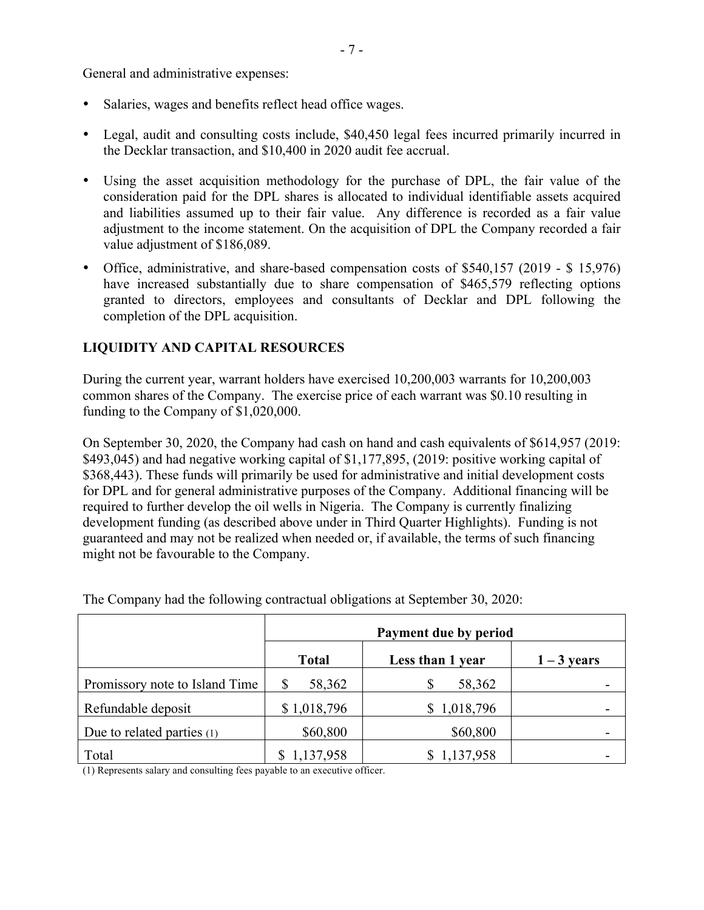General and administrative expenses:

- Salaries, wages and benefits reflect head office wages.
- Legal, audit and consulting costs include, \$40,450 legal fees incurred primarily incurred in the Decklar transaction, and \$10,400 in 2020 audit fee accrual.
- Using the asset acquisition methodology for the purchase of DPL, the fair value of the consideration paid for the DPL shares is allocated to individual identifiable assets acquired and liabilities assumed up to their fair value. Any difference is recorded as a fair value adjustment to the income statement. On the acquisition of DPL the Company recorded a fair value adjustment of \$186,089.
- Office, administrative, and share-based compensation costs of \$540,157 (2019 \$ 15,976) have increased substantially due to share compensation of \$465,579 reflecting options granted to directors, employees and consultants of Decklar and DPL following the completion of the DPL acquisition.

## **LIQUIDITY AND CAPITAL RESOURCES**

During the current year, warrant holders have exercised 10,200,003 warrants for 10,200,003 common shares of the Company. The exercise price of each warrant was \$0.10 resulting in funding to the Company of \$1,020,000.

On September 30, 2020, the Company had cash on hand and cash equivalents of \$614,957 (2019: \$493,045) and had negative working capital of \$1,177,895, (2019: positive working capital of \$368,443). These funds will primarily be used for administrative and initial development costs for DPL and for general administrative purposes of the Company. Additional financing will be required to further develop the oil wells in Nigeria. The Company is currently finalizing development funding (as described above under in Third Quarter Highlights). Funding is not guaranteed and may not be realized when needed or, if available, the terms of such financing might not be favourable to the Company.

|                                | Payment due by period |                  |               |  |  |  |
|--------------------------------|-----------------------|------------------|---------------|--|--|--|
|                                | <b>Total</b>          | Less than 1 year | $1 - 3$ years |  |  |  |
| Promissory note to Island Time | 58,362<br>\$          | 58,362<br>\$     |               |  |  |  |
| Refundable deposit             | \$1,018,796           | \$1,018,796      |               |  |  |  |
| Due to related parties $(1)$   | \$60,800              | \$60,800         |               |  |  |  |
| Total                          | \$1,137,958           | \$1,137,958      |               |  |  |  |

The Company had the following contractual obligations at September 30, 2020:

(1) Represents salary and consulting fees payable to an executive officer.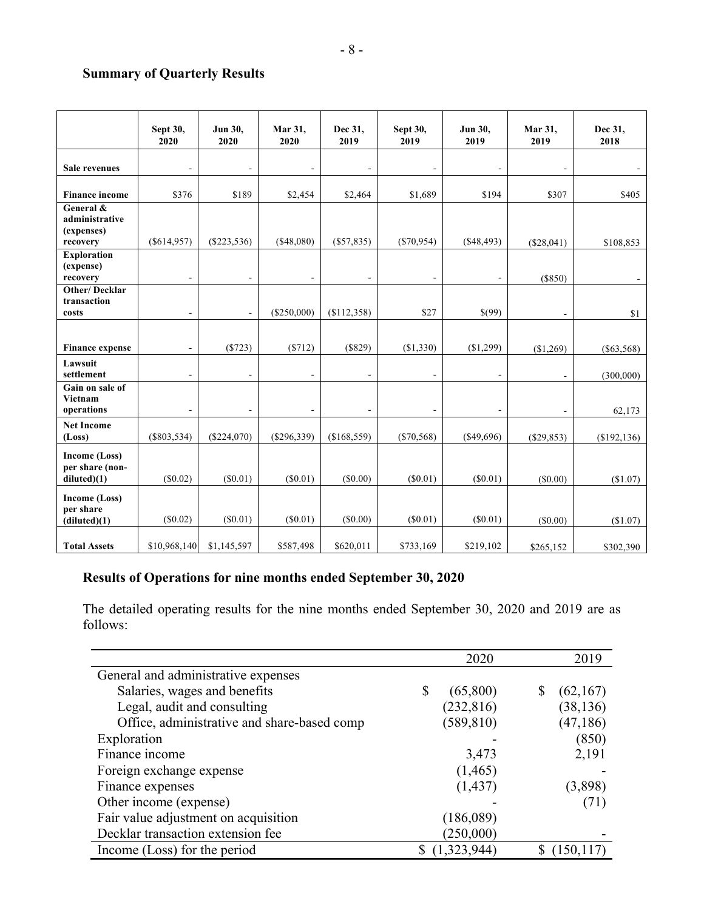# **Summary of Quarterly Results**

|                                                       | Sept 30,<br>2020         | Jun 30,<br>2020              | Mar 31,<br>2020 | Dec 31,<br>2019 | Sept 30,<br>2019 | Jun 30,<br>2019          | Mar 31,<br>2019          | Dec 31,<br>2018 |
|-------------------------------------------------------|--------------------------|------------------------------|-----------------|-----------------|------------------|--------------------------|--------------------------|-----------------|
| <b>Sale revenues</b>                                  |                          |                              | $\overline{a}$  |                 |                  |                          | $\blacksquare$           |                 |
| <b>Finance income</b>                                 | \$376                    | \$189                        | \$2,454         | \$2,464         | \$1,689          | \$194                    | \$307                    | \$405           |
| General &<br>administrative<br>(expenses)<br>recovery | $(\$614,957)$            | $(\$223,536)$                | ( \$48,080)     | $(\$57,835)$    | (S70, 954)       | (S48, 493)               | (\$28,041)               | \$108,853       |
| <b>Exploration</b><br>(expense)<br>recovery           | $\overline{\phantom{a}}$ | $\overline{\phantom{a}}$     | $\blacksquare$  | $\blacksquare$  |                  | $\overline{\phantom{a}}$ | (S850)                   |                 |
| <b>Other/Decklar</b><br>transaction<br>costs          | $\overline{\phantom{a}}$ | $\blacksquare$               | (\$250,000)     | (\$112,358)     | \$27             | \$(99)                   | $\overline{\phantom{a}}$ | \$1             |
| <b>Finance expense</b>                                | $\blacksquare$           | (\$723)                      | (\$712)         | (\$829)         | (\$1,330)        | (\$1,299)                | (\$1,269)                | $(\$63,568)$    |
| Lawsuit<br>settlement                                 | $\blacksquare$           | $\overline{\phantom{a}}$     | $\blacksquare$  |                 |                  |                          | $\blacksquare$           | (300,000)       |
| Gain on sale of<br>Vietnam<br>operations              |                          | $\qquad \qquad \blacksquare$ | $\overline{a}$  | $\blacksquare$  |                  |                          | $\blacksquare$           | 62,173          |
| <b>Net Income</b><br>(Loss)                           | $(\$803,534)$            | (\$224,070)                  | $(\$296,339)$   | (\$168,559)     | $(\$70,568)$     | (\$49,696)               | $(\$29,853)$             | (\$192, 136)    |
| <b>Income (Loss)</b><br>per share (non-<br>diluted(1) | (S0.02)                  | (S0.01)                      | $(\$0.01)$      | (S0.00)         | (S0.01)          | $(\$0.01)$               | (\$0.00)                 | (\$1.07)        |
| Income (Loss)<br>per share<br>(diluted)(1)            | $(\$0.02)$               | $(\$0.01)$                   | $(\$0.01)$      | $(\$0.00)$      | (S0.01)          | $(\$0.01)$               | (S0.00)                  | (\$1.07)        |
| <b>Total Assets</b>                                   | \$10,968,140             | \$1,145,597                  | \$587,498       | \$620,011       | \$733,169        | \$219,102                | \$265,152                | \$302,390       |

# **Results of Operations for nine months ended September 30, 2020**

The detailed operating results for the nine months ended September 30, 2020 and 2019 are as follows:

|                                             | 2020           | 2019       |
|---------------------------------------------|----------------|------------|
| General and administrative expenses         |                |            |
| Salaries, wages and benefits                | (65,800)<br>\$ | (62,167)   |
| Legal, audit and consulting                 | (232, 816)     | (38, 136)  |
| Office, administrative and share-based comp | (589, 810)     | (47, 186)  |
| Exploration                                 |                | (850)      |
| Finance income                              | 3,473          | 2,191      |
| Foreign exchange expense                    | (1, 465)       |            |
| Finance expenses                            | (1, 437)       | (3,898)    |
| Other income (expense)                      |                | (71)       |
| Fair value adjustment on acquisition        | (186,089)      |            |
| Decklar transaction extension fee           | (250,000)      |            |
| Income (Loss) for the period                | (1,323,944)    | (150, 117) |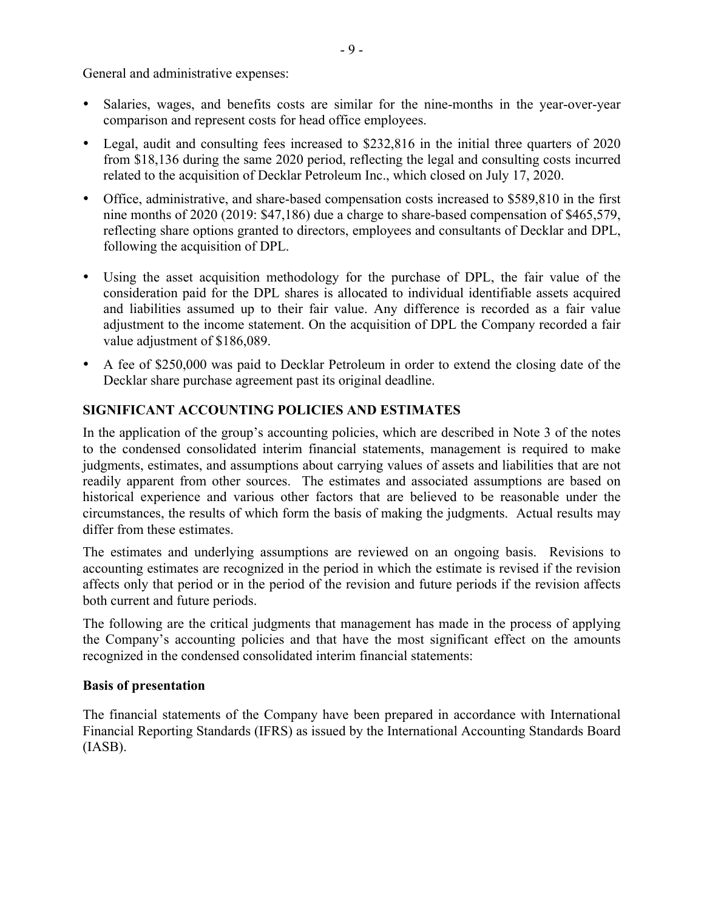General and administrative expenses:

- Salaries, wages, and benefits costs are similar for the nine-months in the year-over-year comparison and represent costs for head office employees.
- Legal, audit and consulting fees increased to \$232,816 in the initial three quarters of 2020 from \$18,136 during the same 2020 period, reflecting the legal and consulting costs incurred related to the acquisition of Decklar Petroleum Inc., which closed on July 17, 2020.
- Office, administrative, and share-based compensation costs increased to \$589,810 in the first nine months of 2020 (2019: \$47,186) due a charge to share-based compensation of \$465,579, reflecting share options granted to directors, employees and consultants of Decklar and DPL, following the acquisition of DPL.
- Using the asset acquisition methodology for the purchase of DPL, the fair value of the consideration paid for the DPL shares is allocated to individual identifiable assets acquired and liabilities assumed up to their fair value. Any difference is recorded as a fair value adjustment to the income statement. On the acquisition of DPL the Company recorded a fair value adjustment of \$186,089.
- A fee of \$250,000 was paid to Decklar Petroleum in order to extend the closing date of the Decklar share purchase agreement past its original deadline.

## **SIGNIFICANT ACCOUNTING POLICIES AND ESTIMATES**

In the application of the group's accounting policies, which are described in Note 3 of the notes to the condensed consolidated interim financial statements, management is required to make judgments, estimates, and assumptions about carrying values of assets and liabilities that are not readily apparent from other sources. The estimates and associated assumptions are based on historical experience and various other factors that are believed to be reasonable under the circumstances, the results of which form the basis of making the judgments. Actual results may differ from these estimates.

The estimates and underlying assumptions are reviewed on an ongoing basis. Revisions to accounting estimates are recognized in the period in which the estimate is revised if the revision affects only that period or in the period of the revision and future periods if the revision affects both current and future periods.

The following are the critical judgments that management has made in the process of applying the Company's accounting policies and that have the most significant effect on the amounts recognized in the condensed consolidated interim financial statements:

#### **Basis of presentation**

The financial statements of the Company have been prepared in accordance with International Financial Reporting Standards (IFRS) as issued by the International Accounting Standards Board (IASB).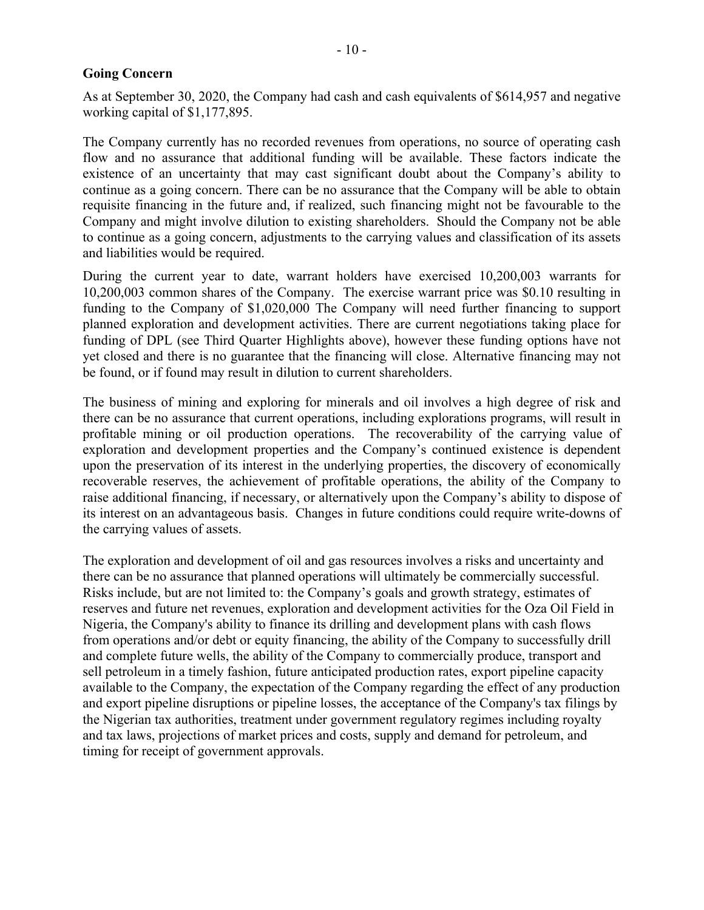#### **Going Concern**

As at September 30, 2020, the Company had cash and cash equivalents of \$614,957 and negative working capital of \$1,177,895.

The Company currently has no recorded revenues from operations, no source of operating cash flow and no assurance that additional funding will be available. These factors indicate the existence of an uncertainty that may cast significant doubt about the Company's ability to continue as a going concern. There can be no assurance that the Company will be able to obtain requisite financing in the future and, if realized, such financing might not be favourable to the Company and might involve dilution to existing shareholders. Should the Company not be able to continue as a going concern, adjustments to the carrying values and classification of its assets and liabilities would be required.

During the current year to date, warrant holders have exercised 10,200,003 warrants for 10,200,003 common shares of the Company. The exercise warrant price was \$0.10 resulting in funding to the Company of \$1,020,000 The Company will need further financing to support planned exploration and development activities. There are current negotiations taking place for funding of DPL (see Third Quarter Highlights above), however these funding options have not yet closed and there is no guarantee that the financing will close. Alternative financing may not be found, or if found may result in dilution to current shareholders.

The business of mining and exploring for minerals and oil involves a high degree of risk and there can be no assurance that current operations, including explorations programs, will result in profitable mining or oil production operations. The recoverability of the carrying value of exploration and development properties and the Company's continued existence is dependent upon the preservation of its interest in the underlying properties, the discovery of economically recoverable reserves, the achievement of profitable operations, the ability of the Company to raise additional financing, if necessary, or alternatively upon the Company's ability to dispose of its interest on an advantageous basis. Changes in future conditions could require write-downs of the carrying values of assets.

The exploration and development of oil and gas resources involves a risks and uncertainty and there can be no assurance that planned operations will ultimately be commercially successful. Risks include, but are not limited to: the Company's goals and growth strategy, estimates of reserves and future net revenues, exploration and development activities for the Oza Oil Field in Nigeria, the Company's ability to finance its drilling and development plans with cash flows from operations and/or debt or equity financing, the ability of the Company to successfully drill and complete future wells, the ability of the Company to commercially produce, transport and sell petroleum in a timely fashion, future anticipated production rates, export pipeline capacity available to the Company, the expectation of the Company regarding the effect of any production and export pipeline disruptions or pipeline losses, the acceptance of the Company's tax filings by the Nigerian tax authorities, treatment under government regulatory regimes including royalty and tax laws, projections of market prices and costs, supply and demand for petroleum, and timing for receipt of government approvals.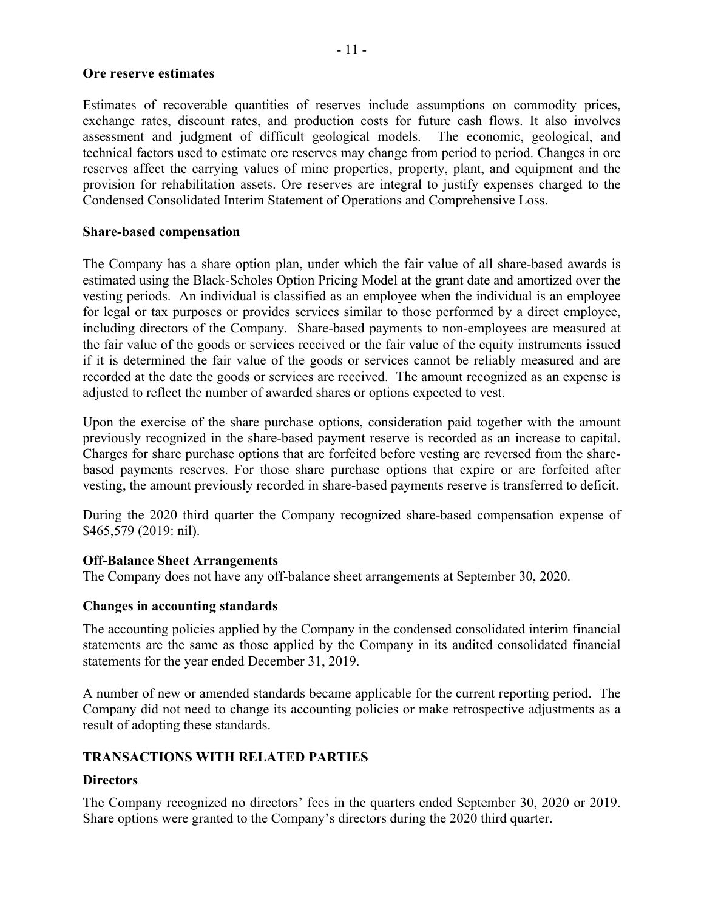#### **Ore reserve estimates**

Estimates of recoverable quantities of reserves include assumptions on commodity prices, exchange rates, discount rates, and production costs for future cash flows. It also involves assessment and judgment of difficult geological models. The economic, geological, and technical factors used to estimate ore reserves may change from period to period. Changes in ore reserves affect the carrying values of mine properties, property, plant, and equipment and the provision for rehabilitation assets. Ore reserves are integral to justify expenses charged to the Condensed Consolidated Interim Statement of Operations and Comprehensive Loss.

#### **Share-based compensation**

The Company has a share option plan, under which the fair value of all share-based awards is estimated using the Black-Scholes Option Pricing Model at the grant date and amortized over the vesting periods. An individual is classified as an employee when the individual is an employee for legal or tax purposes or provides services similar to those performed by a direct employee, including directors of the Company. Share-based payments to non-employees are measured at the fair value of the goods or services received or the fair value of the equity instruments issued if it is determined the fair value of the goods or services cannot be reliably measured and are recorded at the date the goods or services are received. The amount recognized as an expense is adjusted to reflect the number of awarded shares or options expected to vest.

Upon the exercise of the share purchase options, consideration paid together with the amount previously recognized in the share-based payment reserve is recorded as an increase to capital. Charges for share purchase options that are forfeited before vesting are reversed from the sharebased payments reserves. For those share purchase options that expire or are forfeited after vesting, the amount previously recorded in share-based payments reserve is transferred to deficit.

During the 2020 third quarter the Company recognized share-based compensation expense of \$465,579 (2019: nil).

#### **Off-Balance Sheet Arrangements**

The Company does not have any off-balance sheet arrangements at September 30, 2020.

#### **Changes in accounting standards**

The accounting policies applied by the Company in the condensed consolidated interim financial statements are the same as those applied by the Company in its audited consolidated financial statements for the year ended December 31, 2019.

A number of new or amended standards became applicable for the current reporting period. The Company did not need to change its accounting policies or make retrospective adjustments as a result of adopting these standards.

#### **TRANSACTIONS WITH RELATED PARTIES**

#### **Directors**

The Company recognized no directors' fees in the quarters ended September 30, 2020 or 2019. Share options were granted to the Company's directors during the 2020 third quarter.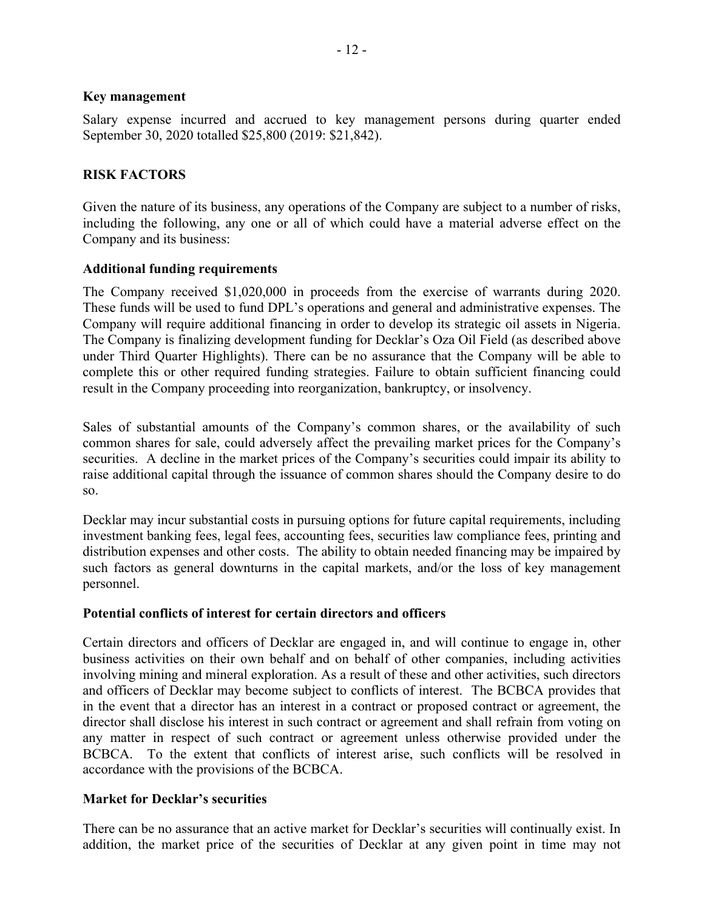#### **Key management**

Salary expense incurred and accrued to key management persons during quarter ended September 30, 2020 totalled \$25,800 (2019: \$21,842).

#### **RISK FACTORS**

Given the nature of its business, any operations of the Company are subject to a number of risks, including the following, any one or all of which could have a material adverse effect on the Company and its business:

#### **Additional funding requirements**

The Company received \$1,020,000 in proceeds from the exercise of warrants during 2020. These funds will be used to fund DPL's operations and general and administrative expenses. The Company will require additional financing in order to develop its strategic oil assets in Nigeria. The Company is finalizing development funding for Decklar's Oza Oil Field (as described above under Third Quarter Highlights). There can be no assurance that the Company will be able to complete this or other required funding strategies. Failure to obtain sufficient financing could result in the Company proceeding into reorganization, bankruptcy, or insolvency.

Sales of substantial amounts of the Company's common shares, or the availability of such common shares for sale, could adversely affect the prevailing market prices for the Company's securities. A decline in the market prices of the Company's securities could impair its ability to raise additional capital through the issuance of common shares should the Company desire to do so.

Decklar may incur substantial costs in pursuing options for future capital requirements, including investment banking fees, legal fees, accounting fees, securities law compliance fees, printing and distribution expenses and other costs. The ability to obtain needed financing may be impaired by such factors as general downturns in the capital markets, and/or the loss of key management personnel.

#### **Potential conflicts of interest for certain directors and officers**

Certain directors and officers of Decklar are engaged in, and will continue to engage in, other business activities on their own behalf and on behalf of other companies, including activities involving mining and mineral exploration. As a result of these and other activities, such directors and officers of Decklar may become subject to conflicts of interest. The BCBCA provides that in the event that a director has an interest in a contract or proposed contract or agreement, the director shall disclose his interest in such contract or agreement and shall refrain from voting on any matter in respect of such contract or agreement unless otherwise provided under the BCBCA. To the extent that conflicts of interest arise, such conflicts will be resolved in accordance with the provisions of the BCBCA.

#### **Market for Decklar's securities**

There can be no assurance that an active market for Decklar's securities will continually exist. In addition, the market price of the securities of Decklar at any given point in time may not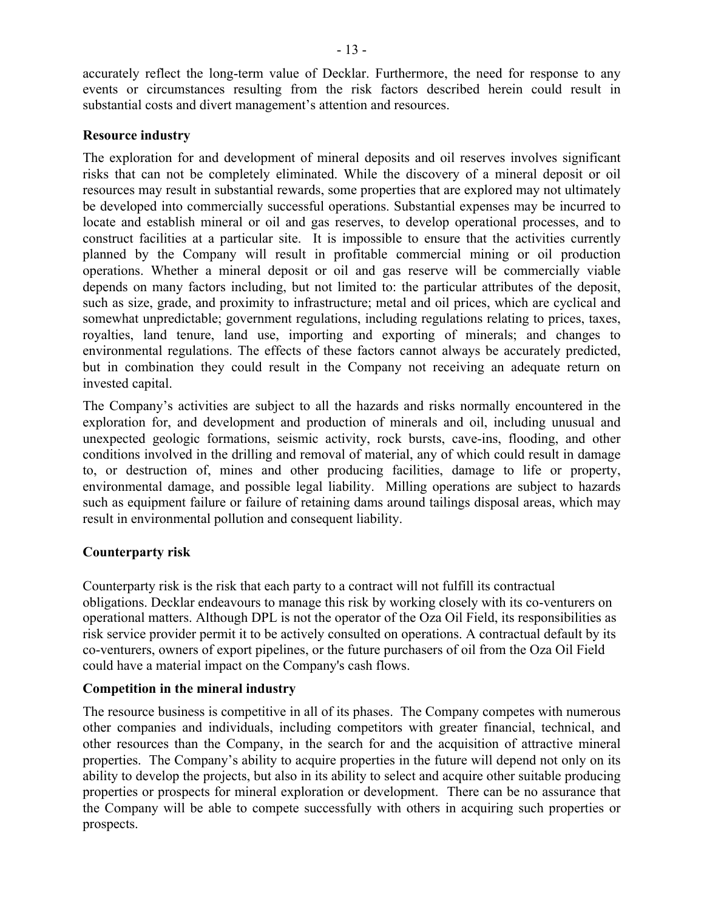accurately reflect the long-term value of Decklar. Furthermore, the need for response to any events or circumstances resulting from the risk factors described herein could result in substantial costs and divert management's attention and resources.

## **Resource industry**

The exploration for and development of mineral deposits and oil reserves involves significant risks that can not be completely eliminated. While the discovery of a mineral deposit or oil resources may result in substantial rewards, some properties that are explored may not ultimately be developed into commercially successful operations. Substantial expenses may be incurred to locate and establish mineral or oil and gas reserves, to develop operational processes, and to construct facilities at a particular site. It is impossible to ensure that the activities currently planned by the Company will result in profitable commercial mining or oil production operations. Whether a mineral deposit or oil and gas reserve will be commercially viable depends on many factors including, but not limited to: the particular attributes of the deposit, such as size, grade, and proximity to infrastructure; metal and oil prices, which are cyclical and somewhat unpredictable; government regulations, including regulations relating to prices, taxes, royalties, land tenure, land use, importing and exporting of minerals; and changes to environmental regulations. The effects of these factors cannot always be accurately predicted, but in combination they could result in the Company not receiving an adequate return on invested capital.

The Company's activities are subject to all the hazards and risks normally encountered in the exploration for, and development and production of minerals and oil, including unusual and unexpected geologic formations, seismic activity, rock bursts, cave-ins, flooding, and other conditions involved in the drilling and removal of material, any of which could result in damage to, or destruction of, mines and other producing facilities, damage to life or property, environmental damage, and possible legal liability. Milling operations are subject to hazards such as equipment failure or failure of retaining dams around tailings disposal areas, which may result in environmental pollution and consequent liability.

## **Counterparty risk**

Counterparty risk is the risk that each party to a contract will not fulfill its contractual obligations. Decklar endeavours to manage this risk by working closely with its co-venturers on operational matters. Although DPL is not the operator of the Oza Oil Field, its responsibilities as risk service provider permit it to be actively consulted on operations. A contractual default by its co-venturers, owners of export pipelines, or the future purchasers of oil from the Oza Oil Field could have a material impact on the Company's cash flows.

## **Competition in the mineral industry**

The resource business is competitive in all of its phases. The Company competes with numerous other companies and individuals, including competitors with greater financial, technical, and other resources than the Company, in the search for and the acquisition of attractive mineral properties. The Company's ability to acquire properties in the future will depend not only on its ability to develop the projects, but also in its ability to select and acquire other suitable producing properties or prospects for mineral exploration or development. There can be no assurance that the Company will be able to compete successfully with others in acquiring such properties or prospects.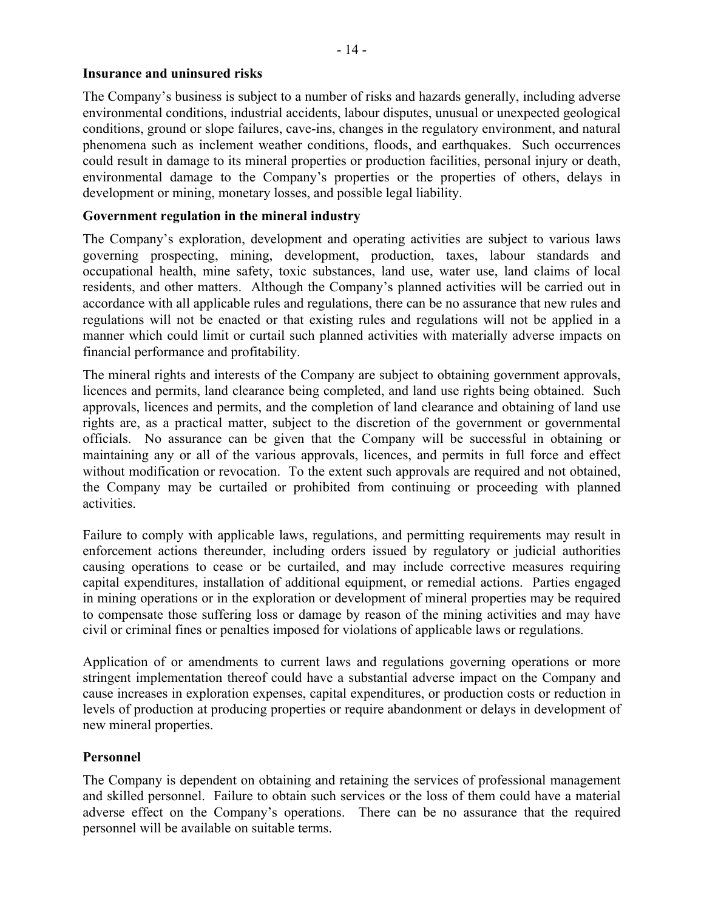#### **Insurance and uninsured risks**

The Company's business is subject to a number of risks and hazards generally, including adverse environmental conditions, industrial accidents, labour disputes, unusual or unexpected geological conditions, ground or slope failures, cave-ins, changes in the regulatory environment, and natural phenomena such as inclement weather conditions, floods, and earthquakes. Such occurrences could result in damage to its mineral properties or production facilities, personal injury or death, environmental damage to the Company's properties or the properties of others, delays in development or mining, monetary losses, and possible legal liability.

#### **Government regulation in the mineral industry**

The Company's exploration, development and operating activities are subject to various laws governing prospecting, mining, development, production, taxes, labour standards and occupational health, mine safety, toxic substances, land use, water use, land claims of local residents, and other matters. Although the Company's planned activities will be carried out in accordance with all applicable rules and regulations, there can be no assurance that new rules and regulations will not be enacted or that existing rules and regulations will not be applied in a manner which could limit or curtail such planned activities with materially adverse impacts on financial performance and profitability.

The mineral rights and interests of the Company are subject to obtaining government approvals, licences and permits, land clearance being completed, and land use rights being obtained. Such approvals, licences and permits, and the completion of land clearance and obtaining of land use rights are, as a practical matter, subject to the discretion of the government or governmental officials. No assurance can be given that the Company will be successful in obtaining or maintaining any or all of the various approvals, licences, and permits in full force and effect without modification or revocation. To the extent such approvals are required and not obtained, the Company may be curtailed or prohibited from continuing or proceeding with planned activities.

Failure to comply with applicable laws, regulations, and permitting requirements may result in enforcement actions thereunder, including orders issued by regulatory or judicial authorities causing operations to cease or be curtailed, and may include corrective measures requiring capital expenditures, installation of additional equipment, or remedial actions. Parties engaged in mining operations or in the exploration or development of mineral properties may be required to compensate those suffering loss or damage by reason of the mining activities and may have civil or criminal fines or penalties imposed for violations of applicable laws or regulations.

Application of or amendments to current laws and regulations governing operations or more stringent implementation thereof could have a substantial adverse impact on the Company and cause increases in exploration expenses, capital expenditures, or production costs or reduction in levels of production at producing properties or require abandonment or delays in development of new mineral properties.

#### **Personnel**

The Company is dependent on obtaining and retaining the services of professional management and skilled personnel. Failure to obtain such services or the loss of them could have a material adverse effect on the Company's operations. There can be no assurance that the required personnel will be available on suitable terms.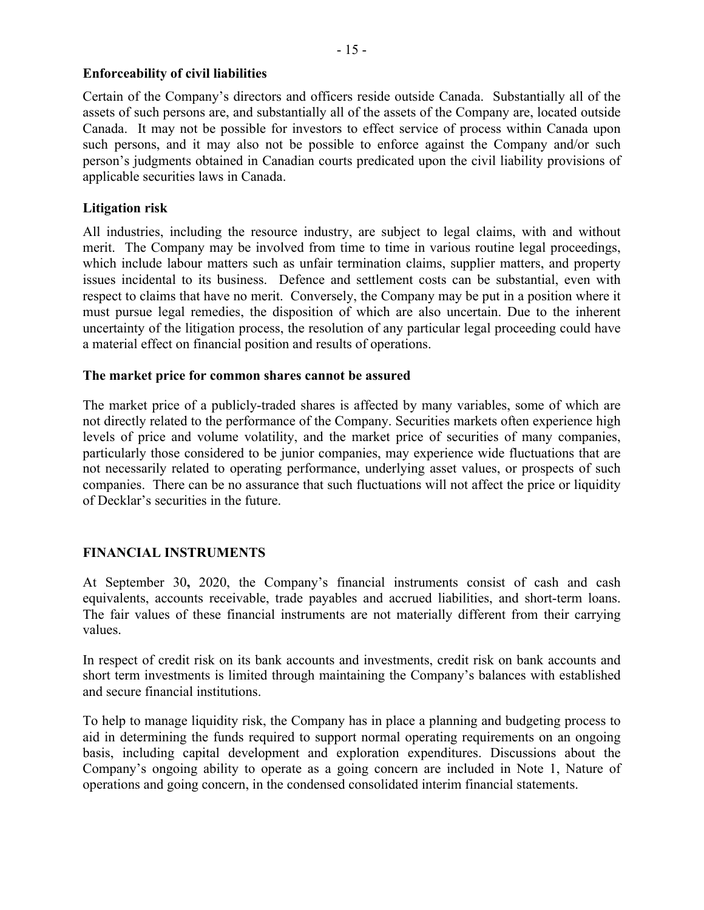## **Enforceability of civil liabilities**

Certain of the Company's directors and officers reside outside Canada. Substantially all of the assets of such persons are, and substantially all of the assets of the Company are, located outside Canada. It may not be possible for investors to effect service of process within Canada upon such persons, and it may also not be possible to enforce against the Company and/or such person's judgments obtained in Canadian courts predicated upon the civil liability provisions of applicable securities laws in Canada.

## **Litigation risk**

All industries, including the resource industry, are subject to legal claims, with and without merit. The Company may be involved from time to time in various routine legal proceedings, which include labour matters such as unfair termination claims, supplier matters, and property issues incidental to its business. Defence and settlement costs can be substantial, even with respect to claims that have no merit. Conversely, the Company may be put in a position where it must pursue legal remedies, the disposition of which are also uncertain. Due to the inherent uncertainty of the litigation process, the resolution of any particular legal proceeding could have a material effect on financial position and results of operations.

#### **The market price for common shares cannot be assured**

The market price of a publicly-traded shares is affected by many variables, some of which are not directly related to the performance of the Company. Securities markets often experience high levels of price and volume volatility, and the market price of securities of many companies, particularly those considered to be junior companies, may experience wide fluctuations that are not necessarily related to operating performance, underlying asset values, or prospects of such companies. There can be no assurance that such fluctuations will not affect the price or liquidity of Decklar's securities in the future.

## **FINANCIAL INSTRUMENTS**

At September 30**,** 2020, the Company's financial instruments consist of cash and cash equivalents, accounts receivable, trade payables and accrued liabilities, and short-term loans. The fair values of these financial instruments are not materially different from their carrying values.

In respect of credit risk on its bank accounts and investments, credit risk on bank accounts and short term investments is limited through maintaining the Company's balances with established and secure financial institutions.

To help to manage liquidity risk, the Company has in place a planning and budgeting process to aid in determining the funds required to support normal operating requirements on an ongoing basis, including capital development and exploration expenditures. Discussions about the Company's ongoing ability to operate as a going concern are included in Note 1, Nature of operations and going concern, in the condensed consolidated interim financial statements.